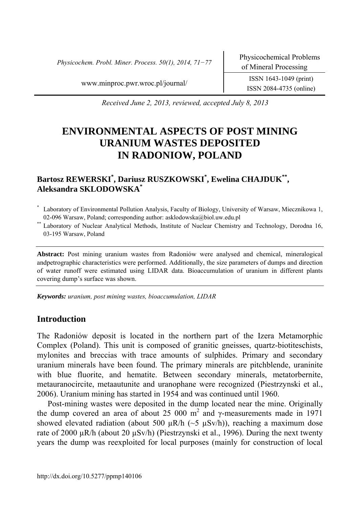*Physicochem. Probl. Miner. Process. 50(1), 2014, 71−77* Physicochemical Problems

www.minproc.pwr.wroc.pl/journal/ ISSN 1643-1049 (print)

ISSN 2084-4735 (online)

*Received June 2, 2013, reviewed, accepted July 8, 2013* 

# **ENVIRONMENTAL ASPECTS OF POST MINING URANIUM WASTES DEPOSITED IN RADONIOW, POLAND**

# **Bartosz REWERSKI\* , Dariusz RUSZKOWSKI\* , Ewelina CHAJDUK\*\*, Aleksandra SKLODOWSKA\***

- \* Laboratory of Environmental Pollution Analysis, Faculty of Biology, University of Warsaw, Miecznikowa 1,
- 02-096 Warsaw, Poland; corresponding author: asklodowska@biol.uw.edu.pl \*\* Laboratory of Nuclear Analytical Methods, Institute of Nuclear Chemistry and Technology, Dorodna 16, 03-195 Warsaw, Poland

**Abstract:** Post mining uranium wastes from Radoniów were analysed and chemical, mineralogical andpetrographic characteristics were performed. Additionally, the size parameters of dumps and direction of water runoff were estimated using LIDAR data. Bioaccumulation of uranium in different plants covering dump's surface was shown.

*Keywords: uranium, post mining wastes, bioaccumulation, LIDAR* 

#### **Introduction**

The Radoniów deposit is located in the northern part of the Izera Metamorphic Complex (Poland). This unit is composed of granitic gneisses, quartz-biotiteschists, mylonites and breccias with trace amounts of sulphides. Primary and secondary uranium minerals have been found. The primary minerals are pitchblende, uraninite with blue fluorite, and hematite. Between secondary minerals, metatorbernite, metauranocircite, metaautunite and uranophane were recognized (Piestrzynski et al., 2006). Uranium mining has started in 1954 and was continued until 1960.

Post-mining wastes were deposited in the dump located near the mine. Originally the dump covered an area of about 25 000 m<sup>2</sup> and γ-measurements made in 1971 showed elevated radiation (about 500  $\mu$ R/h (~5  $\mu$ Sv/h)), reaching a maximum dose rate of 2000  $\mu$ R/h (about 20  $\mu$ Sv/h) (Piestrzynski et al., 1996). During the next twenty years the dump was reexploited for local purposes (mainly for construction of local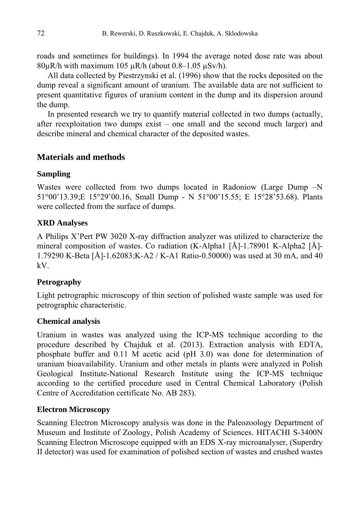roads and sometimes for buildings). In 1994 the average noted dose rate was about  $80\mu R/h$  with maximum 105  $\mu R/h$  (about 0.8–1.05  $\mu Sv/h$ ).

All data collected by Piestrzynski et al. (1996) show that the rocks deposited on the dump reveal a significant amount of uranium. The available data are not sufficient to present quantitative figures of uranium content in the dump and its dispersion around the dump.

In presented research we try to quantify material collected in two dumps (actually, after reexploitation two dumps exist – one small and the second much larger) and describe mineral and chemical character of the deposited wastes.

#### **Materials and methods**

#### **Sampling**

Wastes were collected from two dumps located in Radoniow (Large Dump  $-N$ 51°00'13.39;E 15°29'00.16, Small Dump - N 51°00'15.55; E 15°28'53.68). Plants were collected from the surface of dumps.

#### **XRD Analyses**

A Philips X'Pert PW 3020 X-ray diffraction analyzer was utilized to characterize the mineral composition of wastes. Co radiation (K-Alpha1 [Å]-1.78901 K-Alpha2 [Å]- 1.79290 K-Beta [Å]-1.62083;K-A2 / K-A1 Ratio-0.50000) was used at 30 mA, and 40 kV.

### **Petrography**

Light petrographic microscopy of thin section of polished waste sample was used for petrographic characteristic.

#### **Chemical analysis**

Uranium in wastes was analyzed using the ICP-MS technique according to the procedure described by Chajduk et al. (2013). Extraction analysis with EDTA, phosphate buffer and 0.11 M acetic acid (pH 3.0) was done for determination of uranium bioavailability. Uranium and other metals in plants were analyzed in Polish Geological Institute-National Research Institute using the ICP-MS technique according to the certified procedure used in Central Chemical Laboratory (Polish Centre of Accreditation certificate No. AB 283).

#### **Electron Microscopy**

Scanning Electron Microscopy analysis was done in the Paleozoology Department of Museum and Institute of Zoology, Polish Academy of Sciences. HITACHI S-3400N Scanning Electron Microscope equipped with an EDS X-ray microanalyser, (Superdry II detector) was used for examination of polished section of wastes and crushed wastes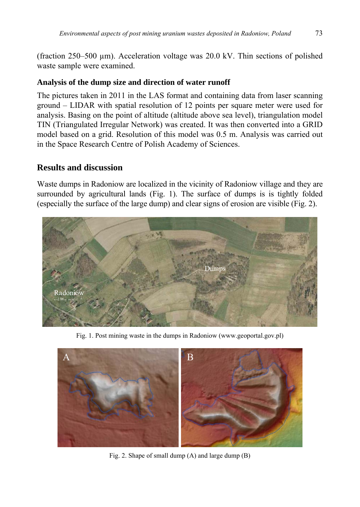(fraction  $250-500 \mu m$ ). Acceleration voltage was  $20.0 \text{ kV}$ . Thin sections of polished waste sample were examined.

## **Analysis of the dump size and direction of water runoff**

The pictures taken in 2011 in the LAS format and containing data from laser scanning ground – LIDAR with spatial resolution of 12 points per square meter were used for analysis. Basing on the point of altitude (altitude above sea level), triangulation model TIN (Triangulated Irregular Network) was created. It was then converted into a GRID model based on a grid. Resolution of this model was 0.5 m. Analysis was carried out in the Space Research Centre of Polish Academy of Sciences.

# **Results and discussion**

Waste dumps in Radoniow are localized in the vicinity of Radoniow village and they are surrounded by agricultural lands (Fig. 1). The surface of dumps is is tightly folded (especially the surface of the large dump) and clear signs of erosion are visible (Fig. 2).



Fig. 1. Post mining waste in the dumps in Radoniow (www.geoportal.gov.pl)



Fig. 2. Shape of small dump (A) and large dump (B)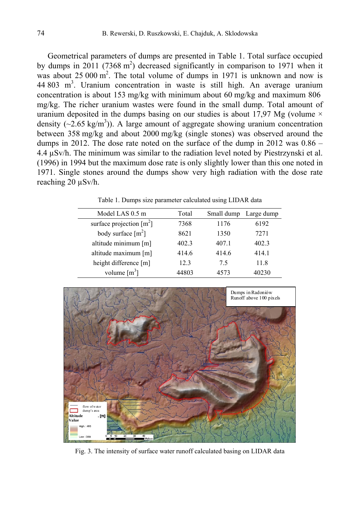Geometrical parameters of dumps are presented in Table 1. Total surface occupied by dumps in 2011 (7368  $m^2$ ) decreased significantly in comparison to 1971 when it was about 25 000  $m^2$ . The total volume of dumps in 1971 is unknown and now is  $44,803$  m<sup>3</sup>. Uranium concentration in waste is still high. An average uranium concentration is about 153 mg/kg with minimum about 60 mg/kg and maximum 806 mg/kg. The richer uranium wastes were found in the small dump. Total amount of uranium deposited in the dumps basing on our studies is about 17,97 Mg (volume  $\times$ density  $(\sim 2.65 \text{ kg/m}^3)$ ). A large amount of aggregate showing uranium concentration between 358 mg/kg and about 2000 mg/kg (single stones) was observed around the dumps in 2012. The dose rate noted on the surface of the dump in 2012 was 0.86 – 4.4 µSv/h. The minimum was similar to the radiation level noted by Piestrzynski et al. (1996) in 1994 but the maximum dose rate is only slightly lower than this one noted in 1971. Single stones around the dumps show very high radiation with the dose rate reaching 20 µSv/h.

| Model LAS 0.5 m                        | Total | Small dump | Large dump |
|----------------------------------------|-------|------------|------------|
| surface projection $\lceil m^2 \rceil$ | 7368  | 1176       | 6192       |
| body surface $\lceil m^2 \rceil$       | 8621  | 1350       | 7271       |
| altitude minimum [m]                   | 402.3 | 407.1      | 402.3      |
| altitude maximum [m]                   | 414.6 | 414.6      | 414.1      |
| height difference [m]                  | 12.3  | 75         | 11.8       |
| volume $\lceil m^3 \rceil$             | 44803 | 4573       | 40230      |

Table 1. Dumps size parameter calculated using LIDAR data



Fig. 3. The intensity of surface water runoff calculated basing on LIDAR data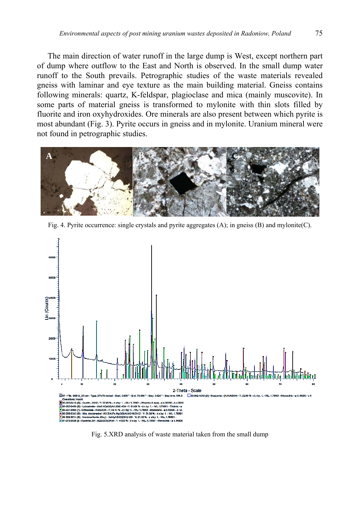The main direction of water runoff in the large dump is West, except northern part of dump where outflow to the East and North is observed. In the small dump water runoff to the South prevails. Petrographic studies of the waste materials revealed gneiss with laminar and eye texture as the main building material. Gneiss contains following minerals: quartz, K-feldspar, plagioclase and mica (mainly muscovite). In some parts of material gneiss is transformed to mylonite with thin slots filled by fluorite and iron oxyhydroxides. Ore minerals are also present between which pyrite is most abundant (Fig. 3). Pyrite occurs in gneiss and in mylonite. Uranium mineral were not found in petrographic studies.



Fig. 4. Pyrite occurrence: single crystals and pyrite aggregates (A); in gneiss (B) and mylonite(C).



Fig. 5.XRD analysis of waste material taken from the small dump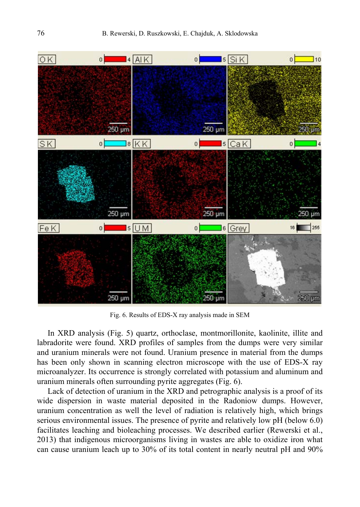

Fig. 6. Results of EDS-X ray analysis made in SEM

In XRD analysis (Fig. 5) quartz, orthoclase, montmorillonite, kaolinite, illite and labradorite were found. XRD profiles of samples from the dumps were very similar and uranium minerals were not found. Uranium presence in material from the dumps has been only shown in scanning electron microscope with the use of EDS-X ray microanalyzer. Its occurrence is strongly correlated with potassium and aluminum and uranium minerals often surrounding pyrite aggregates (Fig. 6).

Lack of detection of uranium in the XRD and petrographic analysis is a proof of its wide dispersion in waste material deposited in the Radoniow dumps. However, uranium concentration as well the level of radiation is relatively high, which brings serious environmental issues. The presence of pyrite and relatively low pH (below 6.0) facilitates leaching and bioleaching processes. We described earlier (Rewerski et al., 2013) that indigenous microorganisms living in wastes are able to oxidize iron what can cause uranium leach up to 30% of its total content in nearly neutral pH and 90%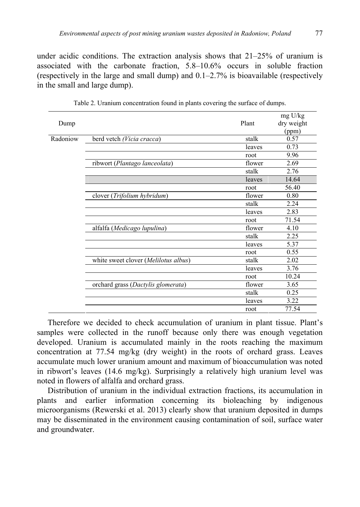under acidic conditions. The extraction analysis shows that  $21-25%$  of uranium is associated with the carbonate fraction, 5.8–10.6% occurs in soluble fraction (respectively in the large and small dump) and 0.1–2.7% is bioavailable (respectively in the small and large dump).

|          |                                      |        | mg U/kg    |
|----------|--------------------------------------|--------|------------|
| Dump     |                                      | Plant  | dry weight |
|          |                                      |        | (ppm)      |
| Radoniow | berd vetch (Vicia cracca)            | stalk  | 0.57       |
|          |                                      | leaves | 0.73       |
|          |                                      | root   | 9.96       |
|          | ribwort (Plantago lanceolata)        | flower | 2.69       |
|          |                                      | stalk  | 2.76       |
|          |                                      | leaves | 14.64      |
|          |                                      | root   | 56.40      |
|          | clover (Trifolium hybridum)          | flower | 0.80       |
|          |                                      | stalk  | 2.24       |
|          |                                      | leaves | 2.83       |
|          |                                      | root   | 71.54      |
|          | alfalfa (Medicago lupulina)          | flower | 4.10       |
|          |                                      | stalk  | 2.25       |
|          |                                      | leaves | 5.37       |
|          |                                      | root   | 0.55       |
|          | white sweet clover (Melilotus albus) | stalk  | 2.02       |
|          |                                      | leaves | 3.76       |
|          |                                      | root   | 10.24      |
|          | orchard grass (Dactylis glomerata)   | flower | 3.65       |
|          |                                      | stalk  | 0.25       |
|          |                                      | leaves | 3.22       |
|          |                                      | root   | 77.54      |
|          |                                      |        |            |

Table 2. Uranium concentration found in plants covering the surface of dumps.

Therefore we decided to check accumulation of uranium in plant tissue. Plant's samples were collected in the runoff because only there was enough vegetation developed. Uranium is accumulated mainly in the roots reaching the maximum concentration at 77.54 mg/kg (dry weight) in the roots of orchard grass. Leaves accumulate much lower uranium amount and maximum of bioaccumulation was noted in ribwort's leaves (14.6 mg/kg). Surprisingly a relatively high uranium level was noted in flowers of alfalfa and orchard grass.

Distribution of uranium in the individual extraction fractions, its accumulation in plants and earlier information concerning its bioleaching by indigenous microorganisms (Rewerski et al. 2013) clearly show that uranium deposited in dumps may be disseminated in the environment causing contamination of soil, surface water and groundwater.